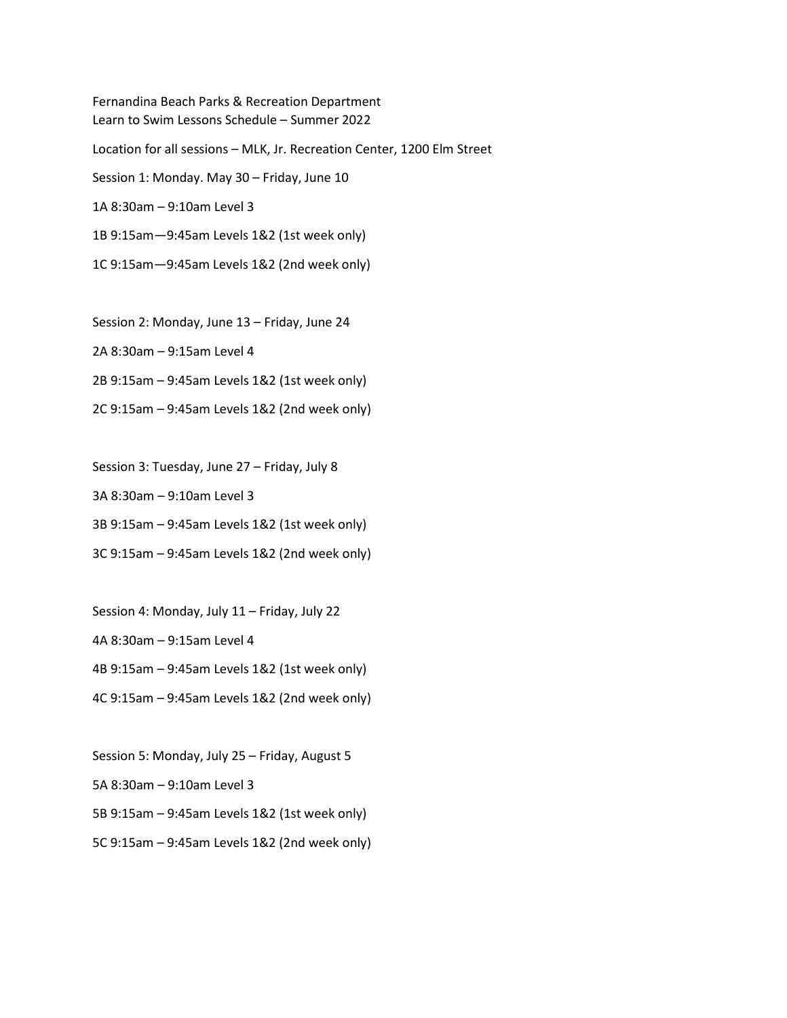Fernandina Beach Parks & Recreation Department Learn to Swim Lessons Schedule – Summer 2022 Location for all sessions – MLK, Jr. Recreation Center, 1200 Elm Street Session 1: Monday. May 30 – Friday, June 10 1A 8:30am – 9:10am Level 3 1B 9:15am—9:45am Levels 1&2 (1st week only) 1C 9:15am—9:45am Levels 1&2 (2nd week only)

Session 2: Monday, June 13 – Friday, June 24

2A 8:30am – 9:15am Level 4

2B 9:15am – 9:45am Levels 1&2 (1st week only)

2C 9:15am – 9:45am Levels 1&2 (2nd week only)

Session 3: Tuesday, June 27 – Friday, July 8

3A 8:30am – 9:10am Level 3

3B 9:15am – 9:45am Levels 1&2 (1st week only)

3C 9:15am – 9:45am Levels 1&2 (2nd week only)

Session 4: Monday, July 11 – Friday, July 22

4A 8:30am – 9:15am Level 4

4B 9:15am – 9:45am Levels 1&2 (1st week only)

4C 9:15am – 9:45am Levels 1&2 (2nd week only)

Session 5: Monday, July 25 – Friday, August 5

5A 8:30am – 9:10am Level 3

5B 9:15am – 9:45am Levels 1&2 (1st week only)

5C 9:15am – 9:45am Levels 1&2 (2nd week only)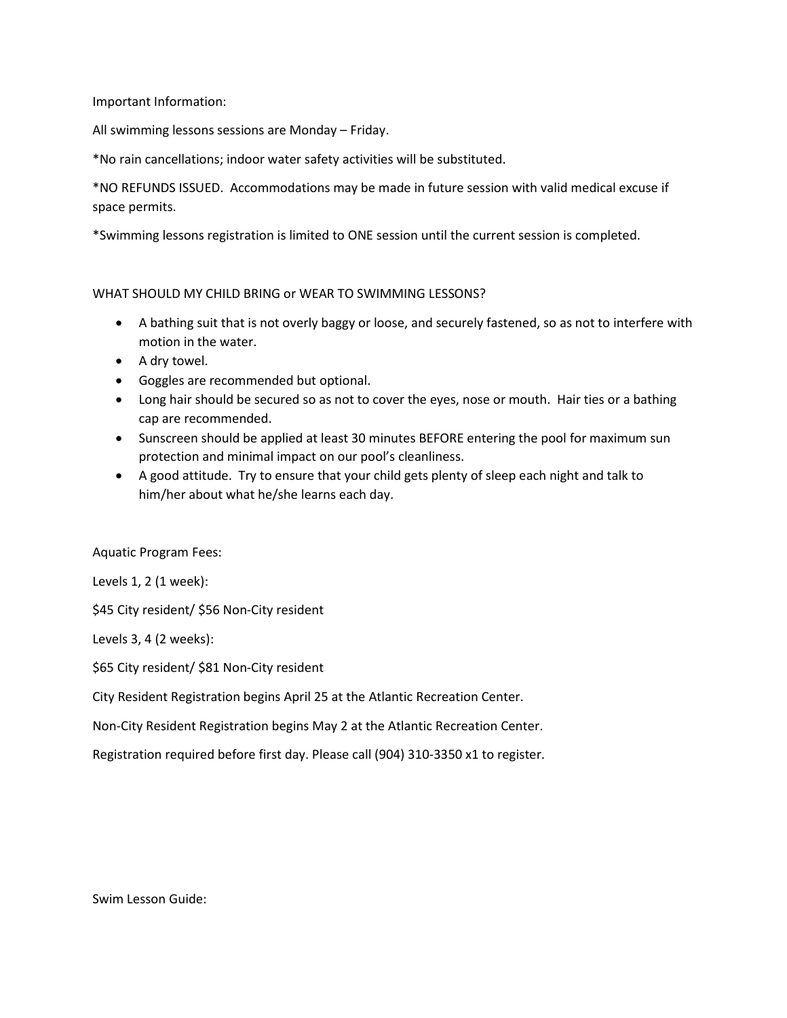Important Information:

All swimming lessons sessions are Monday – Friday.

\*No rain cancellations; indoor water safety activities will be substituted.

\*NO REFUNDS ISSUED. Accommodations may be made in future session with valid medical excuse if space permits.

\*Swimming lessons registration is limited to ONE session until the current session is completed.

## WHAT SHOULD MY CHILD BRING or WEAR TO SWIMMING LESSONS?

- A bathing suit that is not overly baggy or loose, and securely fastened, so as not to interfere with motion in the water.
- A dry towel.
- Goggles are recommended but optional.
- Long hair should be secured so as not to cover the eyes, nose or mouth. Hair ties or a bathing cap are recommended.
- Sunscreen should be applied at least 30 minutes BEFORE entering the pool for maximum sun protection and minimal impact on our pool's cleanliness.
- A good attitude. Try to ensure that your child gets plenty of sleep each night and talk to him/her about what he/she learns each day.

## Aquatic Program Fees:

Levels 1, 2 (1 week):

\$45 City resident/ \$56 Non-City resident

Levels 3, 4 (2 weeks):

\$65 City resident/ \$81 Non-City resident

City Resident Registration begins April 25 at the Atlantic Recreation Center.

Non-City Resident Registration begins May 2 at the Atlantic Recreation Center.

Registration required before first day. Please call (904) 310-3350 x1 to register.

Swim Lesson Guide: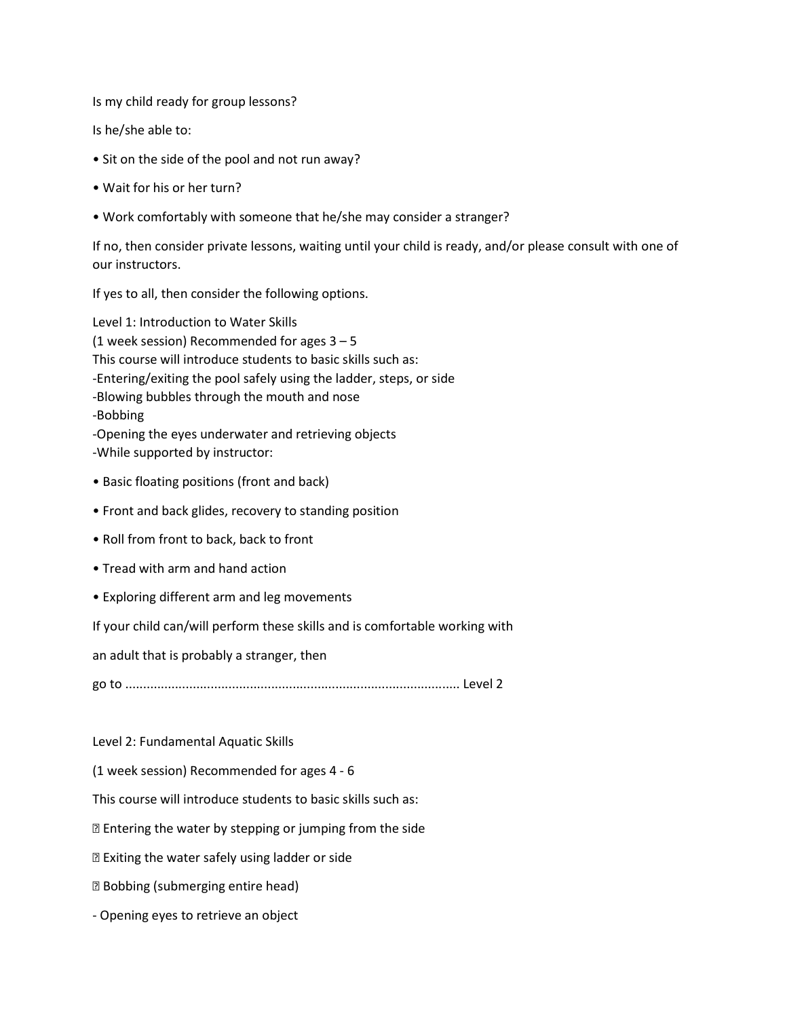Is my child ready for group lessons?

Is he/she able to:

- Sit on the side of the pool and not run away?
- Wait for his or her turn?
- Work comfortably with someone that he/she may consider a stranger?

If no, then consider private lessons, waiting until your child is ready, and/or please consult with one of our instructors.

If yes to all, then consider the following options.

Level 1: Introduction to Water Skills (1 week session) Recommended for ages  $3 - 5$ This course will introduce students to basic skills such as: -Entering/exiting the pool safely using the ladder, steps, or side -Blowing bubbles through the mouth and nose -Bobbing -Opening the eyes underwater and retrieving objects -While supported by instructor:

- Basic floating positions (front and back)
- Front and back glides, recovery to standing position
- Roll from front to back, back to front
- Tread with arm and hand action
- Exploring different arm and leg movements

If your child can/will perform these skills and is comfortable working with

an adult that is probably a stranger, then

go to .............................................................................................. Level 2

Level 2: Fundamental Aquatic Skills

(1 week session) Recommended for ages 4 - 6

This course will introduce students to basic skills such as:

Entering the water by stepping or jumping from the side

Exiting the water safely using ladder or side

Bobbing (submerging entire head)

- Opening eyes to retrieve an object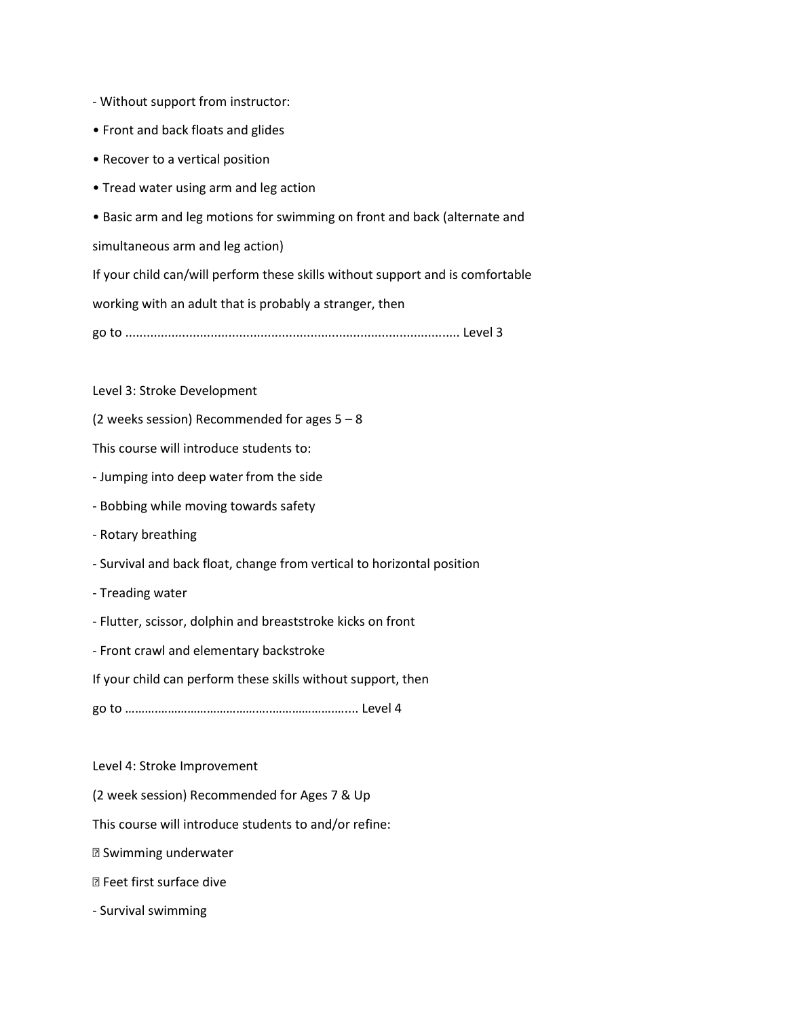- Without support from instructor:
- Front and back floats and glides
- Recover to a vertical position
- Tread water using arm and leg action
- Basic arm and leg motions for swimming on front and back (alternate and

simultaneous arm and leg action)

If your child can/will perform these skills without support and is comfortable

working with an adult that is probably a stranger, then

go to .............................................................................................. Level 3

Level 3: Stroke Development

(2 weeks session) Recommended for ages  $5 - 8$ 

This course will introduce students to:

- Jumping into deep water from the side
- Bobbing while moving towards safety
- Rotary breathing
- Survival and back float, change from vertical to horizontal position
- Treading water
- Flutter, scissor, dolphin and breaststroke kicks on front
- Front crawl and elementary backstroke

If your child can perform these skills without support, then

go to ……….……………………………..……………….….... Level 4

Level 4: Stroke Improvement

(2 week session) Recommended for Ages 7 & Up

This course will introduce students to and/or refine:

Swimming underwater

- Feet first surface dive
- Survival swimming